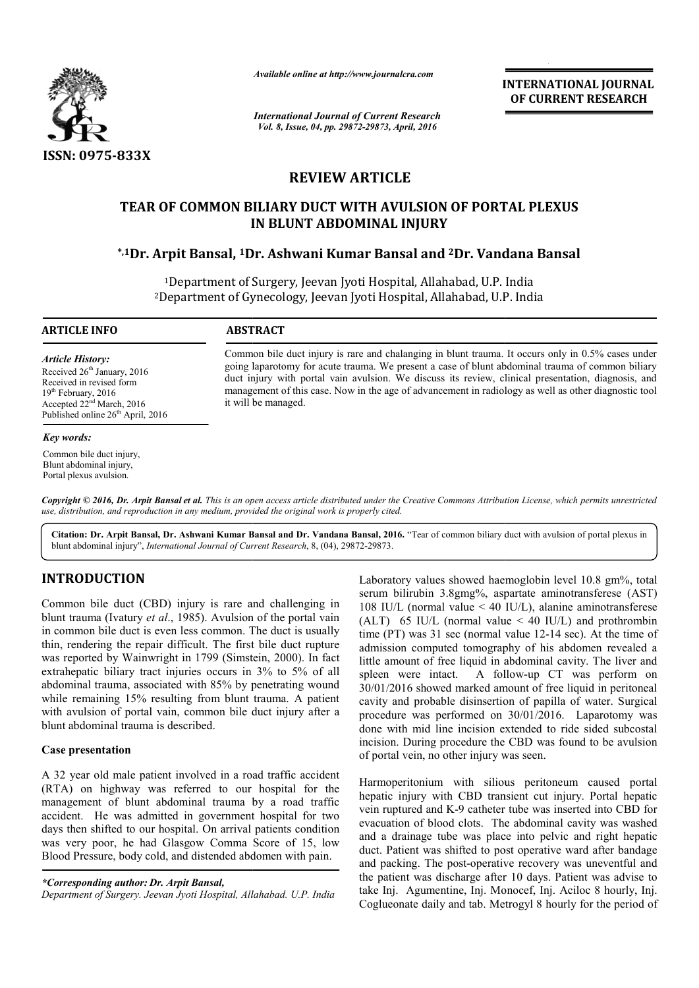

*Available online at http://www.journalcra.com*

*International Journal of Current Research Vol. 8, Issue, 04, pp. 29872-29873, April, 2016*

**INTERNATIONAL JOURNAL OF CURRENT RESEARCH** 

# **REVIEW ARTICLE**

# **TEAR OF COMMON BILIARY DUCT WITH AVULSION OF PORTAL PLEXUS IN BLUNT ABDOMINAL INJURY TEAR OF COMMON BILIARY DUCT WITH AVULSION OF PORTAL PLEXUS<br>IN BLUNT ABDOMINAL INJURY<br><sup>\*,1</sup>Dr. Arpit Bansal, <sup>1</sup>Dr. Ashwani Kumar Bansal and <sup>2</sup>Dr. Vandana Bansal\***

<sup>1</sup>Department of Surgery, Jeevan Jyoti Hospital, Allahabad, U.P. India 2Department of Gynecology Department Gynecology, Jeevan Jyoti Hospital, Allahabad, U.P. India

 $\overline{a}$ 

#### **ARTICLE INFO ABSTRACT**

*Article History:* Received 26<sup>th</sup> January, 2016 Received in revised form 19<sup>th</sup> February, 2016 Accepted 22nd March, 2016 Published online 26<sup>th</sup> April, 2016

#### *Key words:*

Common bile duct injury, Blunt abdominal injury, Portal plexus avulsion.

Common bile duct injury is rare and chalanging in blunt trauma. It occurs only in 0.5% cases under going laparotomy for acute trauma. We present a case of blunt abdominal trauma of common biliary duct injury with portal vain avulsion. We discuss its review, clinical presentation, diagnosis, and management of this case. Now in the age of advancement in radiology as well as other diagnostic tool it will be managed. going laparotomy for acute trauma. We present a case of blunt abdominal trauma of common biliary<br>duct injury with portal vain avulsion. We discuss its review, clinical presentation, diagnosis, and<br>management of this case.

Copyright © 2016, Dr. Arpit Bansal et al. This is an open access article distributed under the Creative Commons Attribution License, which permits unrestrictea *use, distribution, and reproduction in any medium, provided the original work is properly cited.*

Citation: Dr. Arpit Bansal, Dr. Ashwani Kumar Bansal and Dr. Vandana Bansal, 2016. "Tear of common biliary duct with avulsion of portal plexus in blunt abdominal injury", *International Journal of Current Research* , 8, (04), 29872-29873.

## **INTRODUCTION**

Common bile duct (CBD) injury is rare and challenging in blunt trauma (Ivatury *et al*., 1985). Avulsion of the portal vain in common bile duct is even less common. The duct is usually thin, rendering the repair difficult. The first bile duct rupture was reported by Wainwright in 1799 (Simstein, 2000). In fact extrahepatic biliary tract injuries occurs in 3% to 5% of all abdominal trauma, associated with 85% by penetrating wound while remaining 15% resulting from blunt trauma. A patient with avulsion of portal vain, common bile duct injury after a blunt abdominal trauma is described. atury *et al.*, 1985). Avulsion of the portal vain duct is even less common. The duct is usually he repair difficult. The first bile duct rupture Wainwright in 1799 (Simstein, 2000). In fact

### **Case presentation**

A 32 year old male patient involved in a road traffic accident (RTA) on highway was referred to our hospital for the management of blunt abdominal trauma by a road traffic accident. He was admitted in government hospital for two days then shifted to our hospital. On arrival patients condition was very poor, he had Glasgow Comma Score of 15, low Blood Pressure, body cold, and distended abdomen with pain. ulting f<br>ain, com<br>describ<br>nt invol<br>spital.<br>ted in g<br>ospital.

*\*Corresponding author: Dr. Arpit Bansal,* 

*Department of Surgery. Jeevan Jyoti Hospital, Allahabad. U. U.P. India*

Laboratory values showed haemoglobin level 10.8 gm%, total serum bilirubin 3.8gmg%, aspartate aminotransferese (AST) 108 IU/L (normal value < 40 IU/L), alanine aminotransferese (ALT) 65 IU/L (normal value < 40 IU/L) and prothrombin time (PT) was 31 sec (normal value 12-14 sec). At the time of admission computed tomography of his abdomen revealed a little amount of free liquid in abdominal cavity. The liver and spleen were intact. A follow-up CT was perform on 30/01/2016 showed marked amount of free liquid in peritoneal cavity and probable disinsertion of papilla of water. Surgical procedure was performed on 30/01/2016. Laparotomy was done with mid line incision extended to ride sided subcostal incision. During procedure the CBD was found to be avulsion of portal vein, no other injury was seen. pratory values showed haemoglobin level 10.8 gm%, total<br>m bilirubin 3.8gmg%, aspartate aminotransferese (AST)<br>IU/L (normal value < 40 IU/L), alanine aminotransferese<br>F) 65 IU/L (normal value < 40 IU/L) and prothrombin<br>(PT tomography of his abdomen revealed a<br>liquid in abdominal cavity. The liver and<br>A follow-up CT was perform on able disinsertion of papilla of water. Surgical<br>performed on 30/01/2016. Laparotomy was<br>line incision extended to ride sided subcostal<br>procedure the CBD was found to be avulsion **IATIONAL JOURNAL**<br> **REENT RESEARCH**<br> **REENT RESEARCH**<br> **REENT RESEARCH**<br> **COMPT ANDEXEMPT RESEARCH**<br> **COMPT ANDEXEMPT ASSEMALY**<br> **COMPT ANDEXEMPT ASSEMALY**<br> **COMPT ASSEMALY**<br> **COMPT ASSEMALY**<br> **COMPT ASSEMALY**<br> **COMPT ASS** 

Harmoperitonium with silious peritoneum caused portal hepatic injury with CBD transient cut injury. Portal hepatic vein ruptured and K-9 catheter tube was inserted into CBD for evacuation of blood clots. The abdominal cavity was washed and a drainage tube was place into pelvic and right hepatic duct. Patient was shifted to post operative ward after bandage and packing. The post-operative recovery was uneventful and the patient was discharge after 10 days. Patient was advise to take Inj. Agumentine, Inj. Monocef, Inj. Aciloc 8 hourly, Inj. Coglueonate daily and tab. Metrogyl 8 hourly for the period of onium with silious peritoneum caused portal<br>try with CBD transient cut injury. Portal hepatic<br>ed and K-9 catheter tube was inserted into CBD for<br>of blood clots. The abdominal cavity was washed<br>tage tube was place into pelv